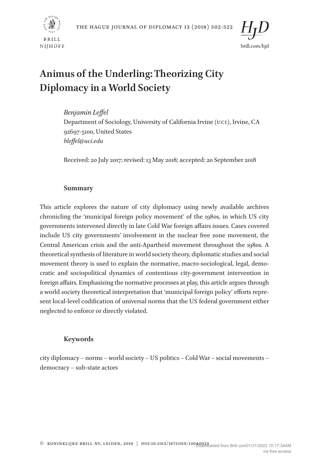





# **Animus of the Underling: Theorizing City Diplomacy in a World Society**

*Benjamin Leffel*

Department of Sociology, University of California Irvine (UCI), Irvine, CA 92697-5100, United States *bleffel@uci.edu*

Received: 20 July 2017; revised: 13 May 2018; accepted: 20 September 2018

# **Summary**

This article explores the nature of city diplomacy using newly available archives chronicling the 'municipal foreign policy movement' of the 1980s, in which US city governments intervened directly in late Cold War foreign affairs issues. Cases covered include US city governments' involvement in the nuclear free zone movement, the Central American crisis and the anti-Apartheid movement throughout the 1980s. A theoretical synthesis of literature in world society theory, diplomatic studies and social movement theory is used to explain the normative, macro-sociological, legal, democratic and sociopolitical dynamics of contentious city-government intervention in foreign affairs. Emphasizing the normative processes at play, this article argues through a world society theoretical interpretation that 'municipal foreign policy' efforts represent local-level codification of universal norms that the US federal government either neglected to enforce or directly violated.

# **Keywords**

city diplomacy – norms – world society – US politics – Cold War – social movements – democracy – sub-state actors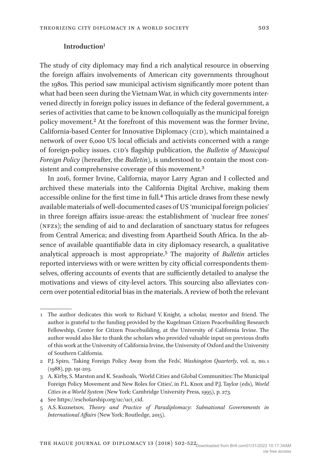## **Introduction**1

The study of city diplomacy may find a rich analytical resource in observing the foreign affairs involvements of American city governments throughout the 1980s. This period saw municipal activism significantly more potent than what had been seen during the Vietnam War, in which city governments intervened directly in foreign policy issues in defiance of the federal government, a series of activities that came to be known colloquially as the municipal foreign policy movement.2 At the forefront of this movement was the former Irvine, California-based Center for Innovative Diplomacy (CID), which maintained a network of over 6,000 US local officials and activists concerned with a range of foreign-policy issues. CID's flagship publication, the *Bulletin of Municipal Foreign Policy* (hereafter, the *Bulletin*), is understood to contain the most consistent and comprehensive coverage of this movement.3

In 2016, former Irvine, California, mayor Larry Agran and I collected and archived these materials into the California Digital Archive, making them accessible online for the first time in full.4 This article draws from these newly available materials of well-documented cases of US 'municipal foreign policies' in three foreign affairs issue-areas: the establishment of 'nuclear free zones' (NFZs); the sending of aid to and declaration of sanctuary status for refugees from Central America; and divesting from Apartheid South Africa. In the absence of available quantifiable data in city diplomacy research, a qualitative analytical approach is most appropriate.5 The majority of *Bulletin* articles reported interviews with or were written by city official correspondents themselves, offering accounts of events that are sufficiently detailed to analyse the motivations and views of city-level actors. This sourcing also alleviates concern over potential editorial bias in the materials. A review of both the relevant

<sup>1</sup> The author dedicates this work to Richard V. Knight, a scholar, mentor and friend. The author is grateful to the funding provided by the Kugelman Citizen Peacebuilding Research Fellowship, Center for Citizen Peacebuilding, at the University of California Irvine. The author would also like to thank the scholars who provided valuable input on previous drafts of this work at the University of California Irvine, the University of Oxford and the University of Southern California.

<sup>2</sup> P.J. Spiro, 'Taking Foreign Policy Away from the Feds', *Washington Quarterly*, vol. 11, no. 1 (1988), pp. 191-203.

<sup>3</sup> A. Kirby, S. Marston and K. Seashoals, 'World Cities and Global Communities: The Municipal Foreign Policy Movement and New Roles for Cities', in P.L. Knox and P.J. Taylor (eds), *World Cities in a World System* (New York: Cambridge University Press, 1995), p. 273.

<sup>4</sup> See https://escholarship.org/uc/uci\_cid.

<sup>5</sup> A.S. Kuznetsov, *Theory and Practice of Paradiplomacy*: *Subnational Governments in International Affairs* (New York: Routledge, 2015).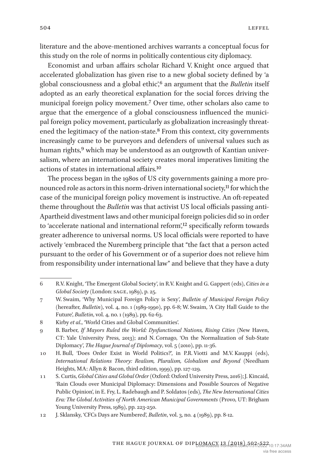literature and the above-mentioned archives warrants a conceptual focus for

this study on the role of norms in politically contentious city diplomacy. Economist and urban affairs scholar Richard V. Knight once argued that accelerated globalization has given rise to a new global society defined by 'a global consciousness and a global ethic',6 an argument that the *Bulletin* itself adopted as an early theoretical explanation for the social forces driving the municipal foreign policy movement.7 Over time, other scholars also came to argue that the emergence of a global consciousness influenced the municipal foreign policy movement, particularly as globalization increasingly threatened the legitimacy of the nation-state.8 From this context, city governments increasingly came to be purveyors and defenders of universal values such as human rights,<sup>9</sup> which may be understood as an outgrowth of Kantian universalism, where an international society creates moral imperatives limiting the actions of states in international affairs.10

The process began in the 1980s of US city governments gaining a more pronounced role as actors in this norm-driven international society,<sup>11</sup> for which the case of the municipal foreign policy movement is instructive. An oft-repeated theme throughout the *Bulletin* was that activist US local officials passing anti-Apartheid divestment laws and other municipal foreign policies did so in order to 'accelerate national and international reform',<sup>12</sup> specifically reform towards greater adherence to universal norms. US local officials were reported to have actively 'embraced the Nuremberg principle that "the fact that a person acted pursuant to the order of his Government or of a superior does not relieve him from responsibility under international law" and believe that they have a duty

<sup>6</sup> R.V. Knight, 'The Emergent Global Society', in R.V. Knight and G. Gappert (eds), *Cities in a Global Society* (London: SAGE, 1989), p. 25.

<sup>7</sup> W. Swaim, 'Why Municipal Foreign Policy is Sexy', *Bulletin of Municipal Foreign Policy*  (hereafter, *Bulletin*), vol. 4, no. 1 (1989-1990), pp. 6-8; W. Swaim, 'A City Hall Guide to the Future', *Bulletin*, vol. 4, no. 1 (1989), pp. 62-63.

<sup>8</sup> Kirby *et al*., 'World Cities and Global Communities'.

<sup>9</sup> B. Barber, *If Mayors Ruled the World: Dysfunctional Nations, Rising Cities* (New Haven, CT: Yale University Press, 2013); and N. Cornago, 'On the Normalization of Sub-State Diplomacy', *The Hague Journal of Diplomacy*, vol. 5 (2010), pp. 11-36.

<sup>10</sup> H. Bull, 'Does Order Exist in World Politics?', in P.R. Viotti and M.V. Kauppi (eds), *International Relations Theory: Realism, Pluralism, Globalism and Beyond* (Needham Heights, MA: Allyn & Bacon, third edition, 1999), pp. 127-129.

<sup>11</sup> S. Curtis, *Global Cities and Global Order* (Oxford: Oxford University Press, 2016); J. Kincaid, 'Rain Clouds over Municipal Diplomacy: Dimensions and Possible Sources of Negative Public Opinion', in E. Fry, L. Radebaugh and P. Soldatos (eds), *The New International Cities Era: The Global Activities of North American Municipal Governments* (Provo, UT: Brigham Young University Press, 1989), pp. 223-250.

<sup>12</sup> J. Sklansky, 'CFCs Days are Numbered', *Bulletin*, vol. 3, no. 4 (1989), pp. 8-12.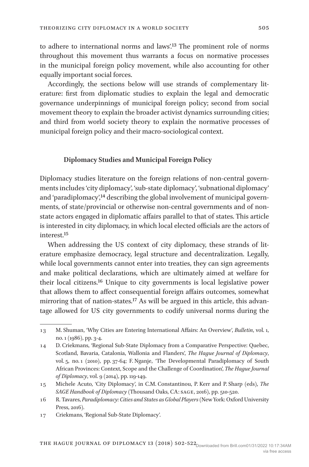to adhere to international norms and laws'.13 The prominent role of norms throughout this movement thus warrants a focus on normative processes in the municipal foreign policy movement, while also accounting for other equally important social forces.

Accordingly, the sections below will use strands of complementary literature: first from diplomatic studies to explain the legal and democratic governance underpinnings of municipal foreign policy; second from social movement theory to explain the broader activist dynamics surrounding cities; and third from world society theory to explain the normative processes of municipal foreign policy and their macro-sociological context.

# **Diplomacy Studies and Municipal Foreign Policy**

Diplomacy studies literature on the foreign relations of non-central governments includes 'city diplomacy', 'sub-state diplomacy', 'subnational diplomacy' and 'paradiplomacy',<sup>14</sup> describing the global involvement of municipal governments, of state/provincial or otherwise non-central governments and of nonstate actors engaged in diplomatic affairs parallel to that of states. This article is interested in city diplomacy, in which local elected officials are the actors of interest<sup>15</sup>

When addressing the US context of city diplomacy, these strands of literature emphasize democracy, legal structure and decentralization. Legally, while local governments cannot enter into treaties, they can sign agreements and make political declarations, which are ultimately aimed at welfare for their local citizens.16 Unique to city governments is local legislative power that allows them to affect consequential foreign affairs outcomes, somewhat mirroring that of nation-states.17 As will be argued in this article, this advantage allowed for US city governments to codify universal norms during the

<sup>13</sup> M. Shuman, 'Why Cities are Entering International Affairs: An Overview', *Bulletin*, vol. 1, no. 1 (1986), pp. 3-4.

<sup>14</sup> D. Criekmans, 'Regional Sub-State Diplomacy from a Comparative Perspective: Quebec, Scotland, Bavaria, Catalonia, Wallonia and Flanders', *The Hague Journal of Diplomacy*, vol. 5, no. 1 (2010), pp. 37-64; F. Nganje, 'The Developmental Paradiplomacy of South African Provinces: Context, Scope and the Challenge of Coordination', *The Hague Journal of Diplomacy*, vol. 9 (2014), pp. 119-149.

<sup>15</sup> Michele Acuto, 'City Diplomacy', in C.M. Constantinou, P. Kerr and P. Sharp (eds), *The SAGE Handbook of Diplomacy* (Thousand Oaks, CA: SAGE, 2016), pp. 510-520.

<sup>16</sup> R. Tavares, *Paradiplomacy: Cities and States as Global Players* (New York: Oxford University Press, 2016).

<sup>17</sup> Criekmans, 'Regional Sub-State Diplomacy'.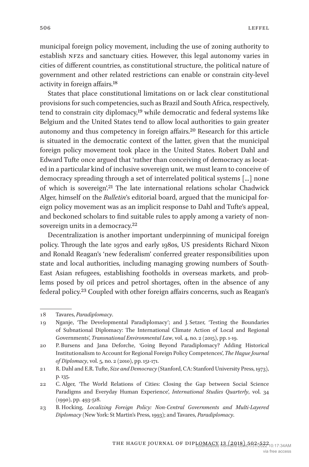municipal foreign policy movement, including the use of zoning authority to establish NFZs and sanctuary cities. However, this legal autonomy varies in cities of different countries, as constitutional structure, the political nature of government and other related restrictions can enable or constrain city-level activity in foreign affairs.18

States that place constitutional limitations on or lack clear constitutional provisions for such competencies, such as Brazil and South Africa, respectively, tend to constrain city diplomacy,<sup>19</sup> while democratic and federal systems like Belgium and the United States tend to allow local authorities to gain greater autonomy and thus competency in foreign affairs.20 Research for this article is situated in the democratic context of the latter, given that the municipal foreign policy movement took place in the United States. Robert Dahl and Edward Tufte once argued that 'rather than conceiving of democracy as located in a particular kind of inclusive sovereign unit, we must learn to conceive of democracy spreading through a set of interrelated political systems [...] none of which is sovereign'.21 The late international relations scholar Chadwick Alger, himself on the *Bulletin*'s editorial board, argued that the municipal foreign policy movement was as an implicit response to Dahl and Tufte's appeal, and beckoned scholars to find suitable rules to apply among a variety of nonsovereign units in a democracy.<sup>22</sup>

Decentralization is another important underpinning of municipal foreign policy. Through the late 1970s and early 1980s, US presidents Richard Nixon and Ronald Reagan's 'new federalism' conferred greater responsibilities upon state and local authorities, including managing growing numbers of South-East Asian refugees, establishing footholds in overseas markets, and problems posed by oil prices and petrol shortages, often in the absence of any federal policy.23 Coupled with other foreign affairs concerns, such as Reagan's

<sup>18</sup> Tavares, *Paradiplomacy*.

<sup>19</sup> Nganje, 'The Developmental Paradiplomacy'; and J. Setzer, 'Testing the Boundaries of Subnational Diplomacy: The International Climate Action of Local and Regional Governments', *Transnational Environmental Law*, vol. 4, no. 2 (2015), pp. 1-19.

<sup>20</sup> P. Bursens and Jana Deforche, 'Going Beyond Paradiplomacy? Adding Historical Institutionalism to Account for Regional Foreign Policy Competences', *The Hague Journal of Diplomacy*, vol. 5, no. 2 (2010), pp. 151-171.

<sup>21</sup> R. Dahl and E.R. Tufte, *Size and Democracy* (Stanford, CA: Stanford University Press, 1973), p. 135.

<sup>22</sup> C. Alger, 'The World Relations of Cities: Closing the Gap between Social Science Paradigms and Everyday Human Experience', *International Studies Quarterly*, vol. 34 (1990), pp. 493-518.

<sup>23</sup> B. Hocking, *Localizing Foreign Policy: Non-Central Governments and Multi-Layered Diplomacy* (New York: St Martin's Press, 1993); and Tavares, *Paradiplomacy*.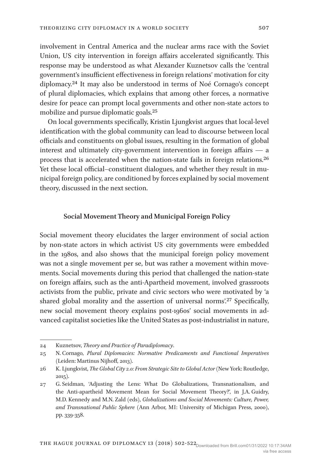involvement in Central America and the nuclear arms race with the Soviet Union, US city intervention in foreign affairs accelerated significantly. This response may be understood as what Alexander Kuznetsov calls the 'central government's insufficient effectiveness in foreign relations' motivation for city

diplomacy.24 It may also be understood in terms of Noé Cornago's concept of plural diplomacies, which explains that among other forces, a normative desire for peace can prompt local governments and other non-state actors to mobilize and pursue diplomatic goals.25

On local governments specifically, Kristin Ljungkvist argues that local-level identification with the global community can lead to discourse between local officials and constituents on global issues, resulting in the formation of global interest and ultimately city-government intervention in foreign affairs — a process that is accelerated when the nation-state fails in foreign relations.26 Yet these local official–constituent dialogues, and whether they result in municipal foreign policy, are conditioned by forces explained by social movement theory, discussed in the next section.

### **Social Movement Theory and Municipal Foreign Policy**

Social movement theory elucidates the larger environment of social action by non-state actors in which activist US city governments were embedded in the 1980s, and also shows that the municipal foreign policy movement was not a single movement per se, but was rather a movement within movements. Social movements during this period that challenged the nation-state on foreign affairs, such as the anti-Apartheid movement, involved grassroots activists from the public, private and civic sectors who were motivated by 'a shared global morality and the assertion of universal norms'.<sup>27</sup> Specifically, new social movement theory explains post-1960s' social movements in advanced capitalist societies like the United States as post-industrialist in nature,

<sup>24</sup> Kuznetsov, *Theory and Practice of Paradiplomacy*.

<sup>25</sup> N. Cornago, *Plural Diplomacies: Normative Predicaments and Functional Imperatives* (Leiden: Martinus Nijhoff, 2013).

<sup>26</sup> K. Ljungkvist, *The Global City 2.0: From Strategic Site to Global Actor* (New York: Routledge, 2015).

<sup>27</sup> G. Seidman, 'Adjusting the Lens: What Do Globalizations, Transnationalism, and the Anti-apartheid Movement Mean for Social Movement Theory?', in J.A. Guidry, M.D. Kennedy and M.N. Zald (eds), *Globalizations and Social Movements: Culture, Power, and Transnational Public Sphere* (Ann Arbor, MI: University of Michigan Press, 2000), pp. 339-358.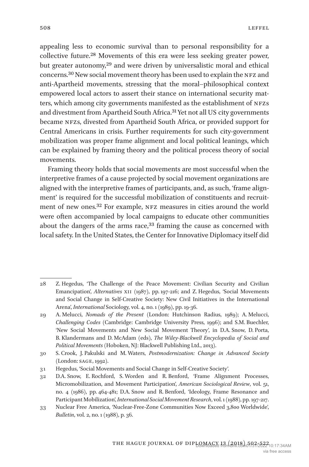appealing less to economic survival than to personal responsibility for a collective future.28 Movements of this era were less seeking greater power, but greater autonomy,<sup>29</sup> and were driven by universalistic moral and ethical concerns.30 New social movement theory has been used to explain the NFZ and anti-Apartheid movements, stressing that the moral–philosophical context empowered local actors to assert their stance on international security matters, which among city governments manifested as the establishment of NFZs and divestment from Apartheid South Africa.31 Yet not all US city governments became NFZs, divested from Apartheid South Africa, or provided support for Central Americans in crisis. Further requirements for such city-government mobilization was proper frame alignment and local political leanings, which can be explained by framing theory and the political process theory of social movements.

Framing theory holds that social movements are most successful when the interpretive frames of a cause projected by social movement organizations are aligned with the interpretive frames of participants, and, as such, 'frame alignment' is required for the successful mobilization of constituents and recruitment of new ones.32 For example, NFZ measures in cities around the world were often accompanied by local campaigns to educate other communities about the dangers of the arms race,<sup>33</sup> framing the cause as concerned with local safety. In the United States, the Center for Innovative Diplomacy itself did

<sup>28</sup> Z. Hegedus, 'The Challenge of the Peace Movement: Civilian Security and Civilian Emancipation', *Alternatives* XII (1987), pp. 197-216; and Z. Hegedus, 'Social Movements and Social Change in Self-Creative Society: New Civil Initiatives in the International Arena', *International* Sociology, vol. 4, no. 1 (1989), pp. 19-36.

<sup>29</sup> A. Melucci, *Nomads of the Present* (London: Hutchinson Radius, 1989); A. Melucci, *Challenging Codes* (Cambridge: Cambridge University Press, 1996); and S.M. Buechler, 'New Social Movements and New Social Movement Theory', in D.A. Snow, D. Porta, B. Klandermans and D. McAdam (eds), *The Wiley-Blackwell Encyclopedia of Social and Political Movements* (Hoboken, NJ: Blackwell Publishing Ltd., 2013).

<sup>30</sup> S. Crook, J. Pakulski and M. Waters, *Postmodernization: Change in Advanced Society* (London: SAGE, 1992).

<sup>31</sup> Hegedus, 'Social Movements and Social Change in Self-Creative Society'.

<sup>32</sup> D.A. Snow, E. Rochford, S. Worden and R. Benford, 'Frame Alignment Processes, Micromobilization, and Movement Participation', *American Sociological Review*, vol. 51, no. 4 (1986), pp. 464-481; D.A. Snow and R. Benford, 'Ideology, Frame Resonance and Participant Mobilization', *International Social Movement Research*, vol. 1 (1988), pp. 197-217.

<sup>33</sup> Nuclear Free America, 'Nuclear-Free-Zone Communities Now Exceed 3,800 Worldwide', *Bulletin*, vol. 2, no. 1 (1988), p. 36.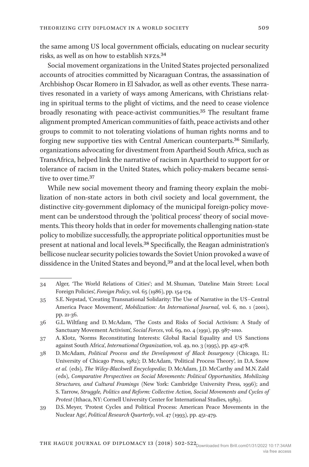the same among US local government officials, educating on nuclear security risks, as well as on how to establish NFZs.34

Social movement organizations in the United States projected personalized accounts of atrocities committed by Nicaraguan Contras, the assassination of Archbishop Oscar Romero in El Salvador, as well as other events. These narratives resonated in a variety of ways among Americans, with Christians relating in spiritual terms to the plight of victims, and the need to cease violence broadly resonating with peace-activist communities.35 The resultant frame alignment prompted American communities of faith, peace activists and other groups to commit to not tolerating violations of human rights norms and to forging new supportive ties with Central American counterparts.36 Similarly, organizations advocating for divestment from Apartheid South Africa, such as TransAfrica, helped link the narrative of racism in Apartheid to support for or tolerance of racism in the United States, which policy-makers became sensitive to over time.<sup>37</sup>

While new social movement theory and framing theory explain the mobilization of non-state actors in both civil society and local government, the distinctive city-government diplomacy of the municipal foreign-policy movement can be understood through the 'political process' theory of social movements. This theory holds that in order for movements challenging nation-state policy to mobilize successfully, the appropriate political opportunities must be present at national and local levels.38 Specifically, the Reagan administration's bellicose nuclear security policies towards the Soviet Union provoked a wave of dissidence in the United States and beyond,39 and at the local level, when both

<sup>34</sup> Alger, 'The World Relations of Cities'; and M. Shuman, 'Dateline Main Street: Local Foreign Policies', *Foreign Policy*, vol. 65 (1986), pp. 154-174.

<sup>35</sup> S.E. Nepstad, 'Creating Transnational Solidarity: The Use of Narrative in the US–Central America Peace Movement', *Mobilization: An International Journal*, vol. 6, no. 1 (2001), pp. 21-36.

<sup>36</sup> G.L. Wiltfang and D. McAdam, 'The Costs and Risks of Social Activism: A Study of Sanctuary Movement Activism', *Social Forces*, vol. 69, no. 4 (1991), pp. 987-1010.

<sup>37</sup> A. Klotz, 'Norms Reconstituting Interests: Global Racial Equality and US Sanctions against South Africa', *International Organization*, vol. 49, no. 3 (1995), pp. 451-478.

<sup>38</sup> D. McAdam, *Political Process and the Development of Black Insurgency* (Chicago, IL: University of Chicago Press, 1982); D. McAdam, 'Political Process Theory', in D.A. Snow *et al.* (eds), *The Wiley-Blackwell Encyclopedia*; D. McAdam, J.D. McCarthy and M.N. Zald (eds), *Comparative Perspectives on Social Movements: Political Opportunities, Mobilizing Structures, and Cultural Framings* (New York: Cambridge University Press, 1996); and S. Tarrow, *Struggle, Politics and Reform: Collective Action, Social Movements and Cycles of Protest* (Ithaca, NY: Cornell University Center for International Studies, 1989).

<sup>39</sup> D.S. Meyer, 'Protest Cycles and Political Process: American Peace Movements in the Nuclear Age', *Political Research Quarterly*, vol. 47 (1993), pp. 451-479.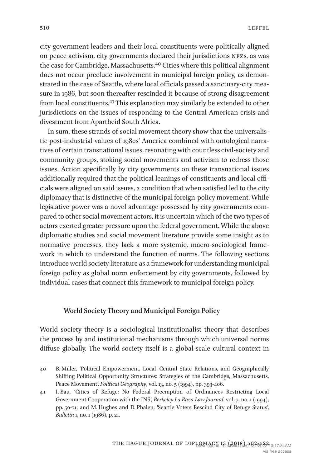city-government leaders and their local constituents were politically aligned on peace activism, city governments declared their jurisdictions NFZs, as was the case for Cambridge, Massachusetts.<sup>40</sup> Cities where this political alignment does not occur preclude involvement in municipal foreign policy, as demonstrated in the case of Seattle, where local officials passed a sanctuary-city measure in 1986, but soon thereafter rescinded it because of strong disagreement from local constituents.41 This explanation may similarly be extended to other jurisdictions on the issues of responding to the Central American crisis and divestment from Apartheid South Africa.

In sum, these strands of social movement theory show that the universalistic post-industrial values of 1980s' America combined with ontological narratives of certain transnational issues, resonating with countless civil-society and community groups, stoking social movements and activism to redress those issues. Action specifically by city governments on these transnational issues additionally required that the political leanings of constituents and local officials were aligned on said issues, a condition that when satisfied led to the city diplomacy that is distinctive of the municipal foreign-policy movement. While legislative power was a novel advantage possessed by city governments compared to other social movement actors, it is uncertain which of the two types of actors exerted greater pressure upon the federal government. While the above diplomatic studies and social movement literature provide some insight as to normative processes, they lack a more systemic, macro-sociological framework in which to understand the function of norms. The following sections introduce world society literature as a framework for understanding municipal foreign policy as global norm enforcement by city governments, followed by individual cases that connect this framework to municipal foreign policy.

#### **World Society Theory and Municipal Foreign Policy**

World society theory is a sociological institutionalist theory that describes the process by and institutional mechanisms through which universal norms diffuse globally. The world society itself is a global-scale cultural context in

<sup>40</sup> B. Miller, 'Political Empowerment, Local–Central State Relations, and Geographically Shifting Political Opportunity Structures: Strategies of the Cambridge, Massachusetts, Peace Movement', *Political Geography*, vol. 13, no. 5 (1994), pp. 393-406.

<sup>41</sup> I. Bau, 'Cities of Refuge: No Federal Preemption of Ordinances Restricting Local Government Cooperation with the INS', *Berkeley La Raza Law Journal*, vol. 7, no. 1 (1994), pp. 50-71; and M. Hughes and D. Phalen, 'Seattle Voters Rescind City of Refuge Status', *Bulletin* 1, no. 1 (1986), p. 21.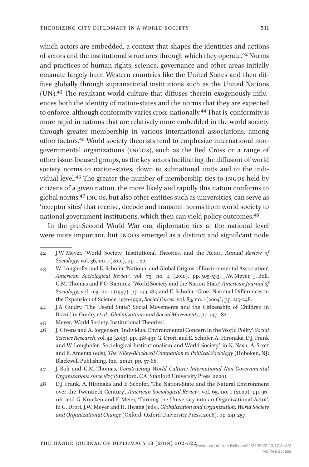which actors are embedded, a context that shapes the identities and actions of actors and the institutional structures through which they operate.42 Norms and practices of human rights, science, governance and other areas initially emanate largely from Western countries like the United States and then diffuse globally through supranational institutions such as the United Nations (UN).43 The resultant world culture that diffuses therein exogenously influences both the identity of nation-states and the norms that they are expected to enforce, although conformity varies cross-nationally.44 That is, conformity is more rapid in nations that are relatively more embedded in the world society through greater membership in various international associations, among other factors.45 World society theorists tend to emphasize international nongovernmental organizations (INGOs), such as the Red Cross or a range of other issue-focused groups, as the key actors facilitating the diffusion of world society norms to nation-states, down to subnational units and to the individual level.46 The greater the number of membership ties to INGOs held by citizens of a given nation, the more likely and rapidly this nation conforms to global norms.47 INGOs, but also other entities such as universities, can serve as 'receptor sites' that receive, decode and transmit norms from world society to national government institutions, which then can yield policy outcomes.48

In the pre-Second World War era, diplomatic ties at the national level were more important, but INGOs emerged as a distinct and significant node

- 43 W. Longhofer and E. Schofer, 'National and Global Origins of Environmental Association', *American Sociological Review*, vol. 75, no. 4 (2010), pp. 505-533; J.W. Meyer, J. Boli, G.M. Thomas and F.O. Ramirez, 'World Society and the Nation-State', *American Journal of Sociology*, vol. 103, no. 1 (1997), pp. 144-181; and E. Schofer, 'Cross-National Differences in the Expansion of Science, 1970-1990', *Social Forces*, vol. 83, no. 1 (2004), pp. 215-248.
- 44 J.A. Guidry, 'The Useful State? Social Movements and the Citizenship of Children in Brazil', in Guidry *et al*., *Globalizations and Social Movements*, pp. 147-182.
- 45 Meyer, 'World Society, Institutional Theories'.
- 46 J. Givens and A. Jorgenson, 'Individual Environmental Concern in the World Polity', *Social Science Research*, vol. 42 (2013), pp. 418-431; G. Drori, and E. Schofer, A. Hironaka, D.J. Frank and W. Longhofer, 'Sociological Institutionalism and World Society', in K. Nash, A. Scott and E. Amenta (eds), *The Wiley-Blackwell Companion to Political Sociology* (Hoboken, NJ: Blackwell Publishing, Inc., 2012), pp. 57-68.

48 D.J. Frank, A. Hironaka and E. Schofer, 'The Nation-State and the Natural Environment over the Twentieth Century', *American Sociological Review*, vol. 65, no. 1 (2000), pp. 96- 116; and G. Krucken and F. Meier, 'Turning the University into an Organizational Actor', in G. Drori, J.W. Meyer and H. Hwang (eds), *Globalization and Organization: World Society and Organizational Change* (Oxford: Oxford University Press, 2006), pp. 241-257.

<sup>42</sup> J.W. Meyer. 'World Society, Institutional Theories, and the Actor', *Annual Review of Sociology*, vol. 36, no. 1 (2010), pp. 1-20.

<sup>47</sup> J. Boli and G.M. Thomas, *Constructing World Culture: International Non-Governmental Organizations since 1875* (Stanford, CA: Stanford University Press, 2000).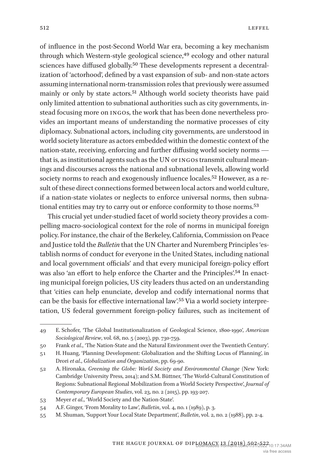of influence in the post-Second World War era, becoming a key mechanism through which Western-style geological science,<sup>49</sup> ecology and other natural sciences have diffused globally.50 These developments represent a decentralization of 'actorhood', defined by a vast expansion of sub- and non-state actors assuming international norm-transmission roles that previously were assumed mainly or only by state actors.<sup>51</sup> Although world society theorists have paid only limited attention to subnational authorities such as city governments, instead focusing more on INGOs, the work that has been done nevertheless provides an important means of understanding the normative processes of city diplomacy. Subnational actors, including city governments, are understood in world society literature as actors embedded within the domestic context of the nation-state, receiving, enforcing and further diffusing world society norms that is, as institutional agents such as the UN or INGOs transmit cultural meanings and discourses across the national and subnational levels, allowing world society norms to reach and exogenously influence locales.<sup>52</sup> However, as a result of these direct connections formed between local actors and world culture, if a nation-state violates or neglects to enforce universal norms, then subnational entities may try to carry out or enforce conformity to those norms.53

This crucial yet under-studied facet of world society theory provides a compelling macro-sociological context for the role of norms in municipal foreign policy. For instance, the chair of the Berkeley, California, Commission on Peace and Justice told the *Bulletin* that the UN Charter and Nuremberg Principles 'establish norms of conduct for everyone in the United States, including national and local government officials' and that every municipal foreign-policy effort was also 'an effort to help enforce the Charter and the Principles'.54 In enacting municipal foreign policies, US city leaders thus acted on an understanding that 'cities can help enunciate, develop and codify international norms that can be the basis for effective international law'.55 Via a world society interpretation, US federal government foreign-policy failures, such as incitement of

<sup>49</sup> E. Schofer, 'The Global Institutionalization of Geological Science, 1800-1990', *American Sociological Review*, vol. 68, no. 5 (2003), pp. 730-759.

<sup>50</sup> Frank *et al*., 'The Nation-State and the Natural Environment over the Twentieth Century'.

<sup>51</sup> H. Huang, 'Planning Development: Globalization and the Shifting Locus of Planning', in Drori *et al*., *Globalization and Organization*, pp. 69-90.

<sup>52</sup> A. Hironaka, *Greening the Globe: World Society and Environmental Change* (New York: Cambridge University Press, 2014); and S.M. Büttner, 'The World-Cultural Constitution of Regions: Subnational Regional Mobilization from a World Society Perspective', *Journal of Contemporary European Studies*, vol. 23, no. 2 (2015), pp. 193-207.

<sup>53</sup> Meyer *et al*., 'World Society and the Nation-State'.

<sup>54</sup> A.F. Ginger, 'From Morality to Law', *Bulletin*, vol. 4, no. 1 (1989), p. 3.

<sup>55</sup> M. Shuman, 'Support Your Local State Department', *Bulletin*, vol. 2, no. 2 (1988), pp. 2-4.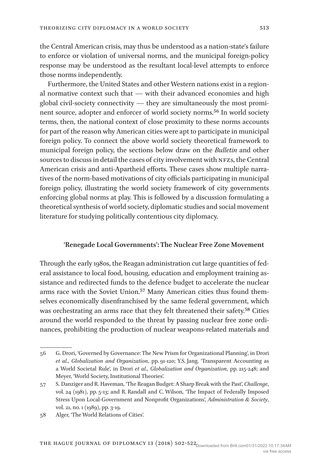the Central American crisis, may thus be understood as a nation-state's failure to enforce or violation of universal norms, and the municipal foreign-policy response may be understood as the resultant local-level attempts to enforce those norms independently.

Furthermore, the United States and other Western nations exist in a regional normative context such that — with their advanced economies and high global civil-society connectivity — they are simultaneously the most prominent source, adopter and enforcer of world society norms.<sup>56</sup> In world society terms, then, the national context of close proximity to these norms accounts for part of the reason why American cities were apt to participate in municipal foreign policy. To connect the above world society theoretical framework to municipal foreign policy, the sections below draw on the *Bulletin* and other sources to discuss in detail the cases of city involvement with NFZs, the Central American crisis and anti-Apartheid efforts. These cases show multiple narratives of the norm-based motivations of city officials participating in municipal foreign policy, illustrating the world society framework of city governments enforcing global norms at play. This is followed by a discussion formulating a theoretical synthesis of world society, diplomatic studies and social movement literature for studying politically contentious city diplomacy.

## **'Renegade Local Governments': The Nuclear Free Zone Movement**

Through the early 1980s, the Reagan administration cut large quantities of federal assistance to local food, housing, education and employment training assistance and redirected funds to the defence budget to accelerate the nuclear arms race with the Soviet Union.<sup>57</sup> Many American cities thus found themselves economically disenfranchised by the same federal government, which was orchestrating an arms race that they felt threatened their safety.<sup>58</sup> Cities around the world responded to the threat by passing nuclear free zone ordinances, prohibiting the production of nuclear weapons-related materials and

<sup>56</sup> G. Drori, 'Governed by Governance: The New Prism for Organizational Planning', in Drori *et al*., *Globalization and Organization*, pp. 91-120; Y.S. Jang, 'Transparent Accounting as a World Societal Rule', in Drori *et al*., *Globalization and Organization*, pp. 215-248; and Meyer, 'World Society, Institutional Theories'.

<sup>57</sup> S. Danziger and R. Haveman, 'The Reagan Budget: A Sharp Break with the Past', *Challenge*, vol. 24 (1981), pp. 5-13; and R. Randall and C. Wilson, 'The Impact of Federally Imposed Stress Upon Local-Government and Nonprofit Organizations', *Administration & Society*, vol. 21, no. 1 (1989), pp. 3-19.

<sup>58</sup> Alger, 'The World Relations of Cities'.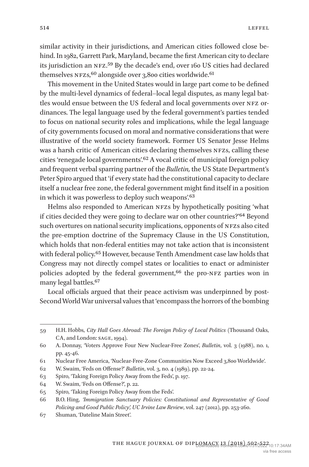similar activity in their jurisdictions, and American cities followed close behind. In 1982, Garrett Park, Maryland, became the first American city to declare its jurisdiction an NFZ.59 By the decade's end, over 160 US cities had declared themselves  $NFZs$ , <sup>60</sup> alongside over 3,800 cities worldwide.<sup>61</sup>

This movement in the United States would in large part come to be defined by the multi-level dynamics of federal–local legal disputes, as many legal battles would ensue between the US federal and local governments over NFZ ordinances. The legal language used by the federal government's parties tended to focus on national security roles and implications, while the legal language of city governments focused on moral and normative considerations that were illustrative of the world society framework. Former US Senator Jesse Helms was a harsh critic of American cities declaring themselves NFZs, calling these cities 'renegade local governments'.<sup>62</sup> A vocal critic of municipal foreign policy and frequent verbal sparring partner of the *Bulletin,* the US State Department's Peter Spiro argued that 'if every state had the constitutional capacity to declare itself a nuclear free zone, the federal government might find itself in a position in which it was powerless to deploy such weapons'.<sup>63</sup>

Helms also responded to American NFZs by hypothetically positing 'what if cities decided they were going to declare war on other countries?'64 Beyond such overtures on national security implications, opponents of NFZs also cited the pre-emption doctrine of the Supremacy Clause in the US Constitution, which holds that non-federal entities may not take action that is inconsistent with federal policy.65 However, because Tenth Amendment case law holds that Congress may not directly compel states or localities to enact or administer policies adopted by the federal government,<sup>66</sup> the pro-NFZ parties won in many legal battles.67

Local officials argued that their peace activism was underpinned by post-Second World War universal values that 'encompass the horrors of the bombing

<sup>59</sup> H.H. Hobbs, *City Hall Goes Abroad: The Foreign Policy of Local Politics* (Thousand Oaks, CA, and London: SAGE, 1994).

<sup>60</sup> A. Donnay, 'Voters Approve Four New Nuclear-Free Zones', *Bulletin*, vol. 3 (1988), no. 1, pp. 45-46.

<sup>61</sup> Nuclear Free America, 'Nuclear-Free-Zone Communities Now Exceed 3,800 Worldwide'.

<sup>62</sup> W. Swaim, 'Feds on Offense?' *Bulletin*, vol. 3, no. 4 (1989), pp. 22-24.

<sup>63</sup> Spiro, 'Taking Foreign Policy Away from the Feds', p. 197.

<sup>64</sup> W. Swaim, 'Feds on Offense?', p. 22.

<sup>65</sup> Spiro, 'Taking Foreign Policy Away from the Feds'.

<sup>66</sup> B.O. Hing, *'Immigration Sanctuary Policies: Constitutional and Representative of Good Policing and Good Public Policy', UC Irvine Law Review*, vol. 247 (2012), pp. 253-260.

<sup>67</sup> Shuman, 'Dateline Main Street'.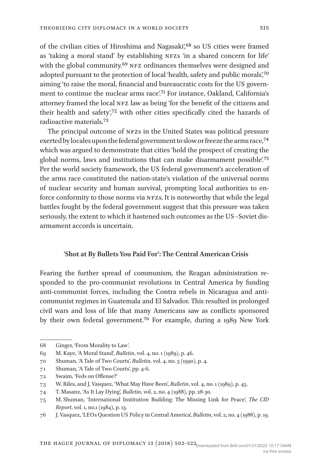of the civilian cities of Hiroshima and Nagasaki',<sup>68</sup> so US cities were framed as 'taking a moral stand' by establishing NFZs 'in a shared concern for life' with the global community.<sup>69</sup> NFZ ordinances themselves were designed and adopted pursuant to the protection of local 'health, safety and public morals',70 aiming 'to raise the moral, financial and bureaucratic costs for the US government to continue the nuclear arms race'.71 For instance, Oakland, California's attorney framed the local NFZ law as being 'for the benefit of the citizens and their health and safety',72 with other cities specifically cited the hazards of radioactive materials.73

The principal outcome of NFZs in the United States was political pressure exerted by locales upon the federal government to slow or freeze the arms race,<sup>74</sup> which was argued to demonstrate that cities 'hold the prospect of creating the global norms, laws and institutions that can make disarmament possible'.75 Per the world society framework, the US federal government's acceleration of the arms race constituted the nation-state's violation of the universal norms of nuclear security and human survival, prompting local authorities to enforce conformity to those norms via NFZs. It is noteworthy that while the legal battles fought by the federal government suggest that this pressure was taken seriously, the extent to which it hastened such outcomes as the US–Soviet disarmament accords is uncertain.

#### **'Shot at By Bullets You Paid For': The Central American Crisis**

Fearing the further spread of communism, the Reagan administration responded to the pro-communist revolutions in Central America by funding anti-communist forces, including the Contra rebels in Nicaragua and anticommunist regimes in Guatemala and El Salvador. This resulted in prolonged civil wars and loss of life that many Americans saw as conflicts sponsored by their own federal government.76 For example, during a 1989 New York

<sup>68</sup> Ginger, 'From Morality to Law'.

<sup>69</sup> M. Kaye, 'A Moral Stand', *Bulletin*, vol. 4, no. 1 (1989), p. 46.

<sup>70</sup> Shuman, 'A Tale of Two Courts', *Bulletin*, vol. 4, no. 3 (1990), p. 4.

<sup>71</sup> Shuman, 'A Tale of Two Courts', pp. 4-6.

<sup>72</sup> Swaim, 'Feds on Offense?'

<sup>73</sup> W. Riles, and J. Vasquez, 'What May Have Been', *Bulletin*, vol. 4, no. 1 (1989), p. 45.

<sup>74</sup> T. Masanz, 'As It Lay Dying', *Bulletin*, vol. 2, no. 4 (1988), pp. 28-30.

<sup>75</sup> M. Shuman, 'International Institution Building: The Missing Link for Peace', *The CID Report*, vol. 1, no.1 (1984), p. 13.

<sup>76</sup> J. Vasquez, 'LEOs Question US Policy in Central America', *Bulletin*, vol. 2, no. 4 (1988), p. 19.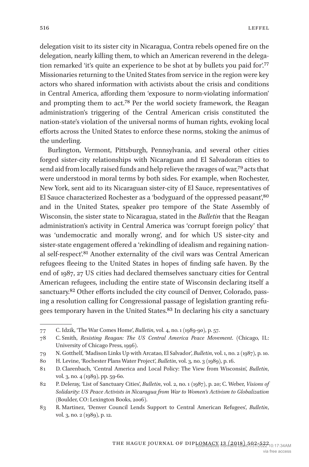delegation visit to its sister city in Nicaragua, Contra rebels opened fire on the delegation, nearly killing them, to which an American reverend in the delegation remarked 'it's quite an experience to be shot at by bullets you paid for'.77 Missionaries returning to the United States from service in the region were key actors who shared information with activists about the crisis and conditions in Central America, affording them 'exposure to norm-violating information' and prompting them to act.78 Per the world society framework, the Reagan administration's triggering of the Central American crisis constituted the nation-state's violation of the universal norms of human rights, evoking local efforts across the United States to enforce these norms, stoking the animus of the underling.

Burlington, Vermont, Pittsburgh, Pennsylvania, and several other cities forged sister-city relationships with Nicaraguan and El Salvadoran cities to send aid from locally raised funds and help relieve the ravages of war,79 acts that were understood in moral terms by both sides. For example, when Rochester, New York, sent aid to its Nicaraguan sister-city of El Sauce, representatives of El Sauce characterized Rochester as a 'bodyguard of the oppressed peasant', <sup>80</sup> and in the United States, speaker pro tempore of the State Assembly of Wisconsin, the sister state to Nicaragua, stated in the *Bulletin* that the Reagan administration's activity in Central America was 'corrupt foreign policy' that was 'undemocratic and morally wrong', and for which US sister-city and sister-state engagement offered a 'rekindling of idealism and regaining national self-respect'.81 Another externality of the civil wars was Central American refugees fleeing to the United States in hopes of finding safe haven. By the end of 1987, 27 US cities had declared themselves sanctuary cities for Central American refugees, including the entire state of Wisconsin declaring itself a sanctuary.<sup>82</sup> Other efforts included the city council of Denver, Colorado, passing a resolution calling for Congressional passage of legislation granting refugees temporary haven in the United States.83 In declaring his city a sanctuary

<sup>77</sup> C. Idzik, 'The War Comes Home', *Bulletin*, vol. 4, no. 1 (1989-90), p. 57.

<sup>78</sup> C. Smith, *Resisting Reagan: The US Central America Peace Movement*. (Chicago, IL: University of Chicago Press, 1996).

<sup>79</sup> N. Gotthelf, 'Madison Links Up with Arcatao, El Salvador', *Bulletin*, vol. 1, no. 2 (1987), p. 10.

<sup>80</sup> H. Levine, 'Rochester Plans Water Project', *Bulletin*, vol. 3, no. 3 (1989), p. 16.

<sup>81</sup> D. Clarenbach, 'Central America and Local Policy: The View from Wisconsin', *Bulletin*, vol. 3, no. 4 (1989), pp. 59-60.

<sup>82</sup> P. Deleray, 'List of Sanctuary Cities', *Bulletin*, vol. 2, no. 1 (1987), p. 20; C. Weber, *Visions of Solidarity: US Peace Activists in Nicaragua from War to Women's Activism to Globalization* (Boulder, CO: Lexington Books, 2006).

<sup>83</sup> R. Martinez, 'Denver Council Lends Support to Central American Refugees', *Bulletin*, vol. 3, no. 2 (1989), p. 12.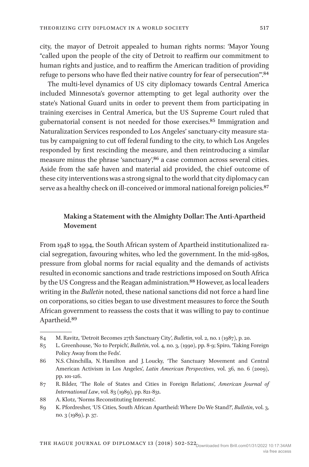city, the mayor of Detroit appealed to human rights norms: 'Mayor Young "called upon the people of the city of Detroit to reaffirm our commitment to human rights and justice, and to reaffirm the American tradition of providing refuge to persons who have fled their native country for fear of persecution"'.84

The multi-level dynamics of US city diplomacy towards Central America included Minnesota's governor attempting to get legal authority over the state's National Guard units in order to prevent them from participating in training exercises in Central America, but the US Supreme Court ruled that gubernatorial consent is not needed for those exercises.85 Immigration and Naturalization Services responded to Los Angeles' sanctuary-city measure status by campaigning to cut off federal funding to the city, to which Los Angeles responded by first rescinding the measure, and then reintroducing a similar measure minus the phrase 'sanctuary', <sup>86</sup> a case common across several cities. Aside from the safe haven and material aid provided, the chief outcome of these city interventions was a strong signal to the world that city diplomacy can serve as a healthy check on ill-conceived or immoral national foreign policies.<sup>87</sup>

# **Making a Statement with the Almighty Dollar: The Anti-Apartheid Movement**

From 1948 to 1994, the South African system of Apartheid institutionalized racial segregation, favouring whites, who led the government. In the mid-1980s, pressure from global norms for racial equality and the demands of activists resulted in economic sanctions and trade restrictions imposed on South Africa by the US Congress and the Reagan administration.<sup>88</sup> However, as local leaders writing in the *Bulletin* noted, these national sanctions did not force a hard line on corporations, so cities began to use divestment measures to force the South African government to reassess the costs that it was willing to pay to continue Apartheid.89

<sup>84</sup> M. Ravitz, 'Detroit Becomes 27th Sanctuary City', *Bulletin*, vol. 2, no. 1 (1987), p. 20.

<sup>85</sup> L. Greenhouse, 'No to Perpich', *Bulletin*, vol. 4, no. 3, (1990), pp. 8-9; Spiro, 'Taking Foreign Policy Away from the Feds'.

<sup>86</sup> N.S. Chinchilla, N. Hamilton and J. Loucky, 'The Sanctuary Movement and Central American Activism in Los Angeles', *Latin American Perspectives*, vol. 36, no. 6 (2009), pp. 101-126.

<sup>87</sup> R. Bilder, 'The Role of States and Cities in Foreign Relations', *American Journal of International Law*, vol. 83 (1989), pp. 821-831.

<sup>88</sup> A. Klotz, 'Norms Reconstituting Interests'.

<sup>89</sup> K. Pfordresher, 'US Cities, South African Apartheid: Where Do We Stand?', *Bulletin*, vol. 3, no. 3 (1989), p. 37.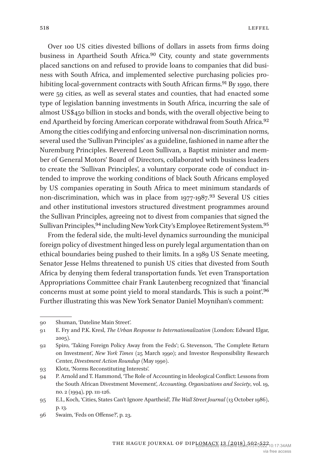Over 100 US cities divested billions of dollars in assets from firms doing business in Apartheid South Africa.90 City, county and state governments placed sanctions on and refused to provide loans to companies that did business with South Africa, and implemented selective purchasing policies prohibiting local-government contracts with South African firms.<sup>91</sup> By 1990, there were 59 cities, as well as several states and counties, that had enacted some type of legislation banning investments in South Africa, incurring the sale of almost US\$450 billion in stocks and bonds, with the overall objective being to end Apartheid by forcing American corporate withdrawal from South Africa.<sup>92</sup> Among the cities codifying and enforcing universal non-discrimination norms, several used the 'Sullivan Principles' as a guideline, fashioned in name after the Nuremburg Principles. Reverend Leon Sullivan, a Baptist minister and member of General Motors' Board of Directors, collaborated with business leaders to create the 'Sullivan Principles', a voluntary corporate code of conduct intended to improve the working conditions of black South Africans employed by US companies operating in South Africa to meet minimum standards of non-discrimination, which was in place from 1977-1987.<sup>93</sup> Several US cities and other institutional investors structured divestment programmes around the Sullivan Principles, agreeing not to divest from companies that signed the Sullivan Principles, <sup>94</sup> including New York City's Employee Retirement System. <sup>95</sup>

From the federal side, the multi-level dynamics surrounding the municipal foreign policy of divestment hinged less on purely legal argumentation than on ethical boundaries being pushed to their limits. In a 1989 US Senate meeting, Senator Jesse Helms threatened to punish US cities that divested from South Africa by denying them federal transportation funds. Yet even Transportation Appropriations Committee chair Frank Lautenberg recognized that 'financial concerns must at some point yield to moral standards. This is such a point'.96 Further illustrating this was New York Senator Daniel Moynihan's comment:

<sup>90</sup> Shuman, 'Dateline Main Street'.

<sup>91</sup> E. Fry and P.K. Kresl, *The Urban Response to Internationalization* (London: Edward Elgar,  $2005$ ).

<sup>92</sup> Spiro, 'Taking Foreign Policy Away from the Feds'; G. Stevenson, 'The Complete Return on Investment', *New York Times* (25 March 1990); and Investor Responsibility Research Center, *Divestment Action Roundup* (May 1990).

<sup>93</sup> Klotz, 'Norms Reconstituting Interests'.

<sup>94</sup> P. Arnold and T. Hammond, 'The Role of Accounting in Ideological Conflict: Lessons from the South African Divestment Movement', *Accounting, Organizations and Society*, vol. 19, no. 2 (1994), pp. 111-126.

<sup>95</sup> E.I., Koch, 'Cities, States Can't Ignore Apartheid', *The Wall Street Journal* (13 October 1986), p. 13.

<sup>96</sup> Swaim, 'Feds on Offense?', p. 23.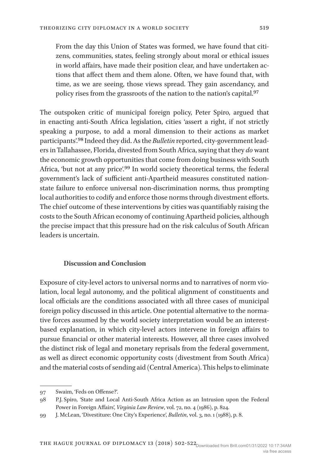From the day this Union of States was formed, we have found that citizens, communities, states, feeling strongly about moral or ethical issues in world affairs, have made their position clear, and have undertaken actions that affect them and them alone. Often, we have found that, with time, as we are seeing, those views spread. They gain ascendancy, and policy rises from the grassroots of the nation to the nation's capital.97

The outspoken critic of municipal foreign policy, Peter Spiro, argued that in enacting anti-South Africa legislation, cities 'assert a right, if not strictly speaking a purpose, to add a moral dimension to their actions as market participants'.98 Indeed they did. As the *Bulletin* reported, city-government leaders in Tallahassee, Florida, divested from South Africa, saying that they *do* want the economic growth opportunities that come from doing business with South Africa, 'but not at any price'.99 In world society theoretical terms, the federal government's lack of sufficient anti-Apartheid measures constituted nationstate failure to enforce universal non-discrimination norms, thus prompting local authorities to codify and enforce those norms through divestment efforts. The chief outcome of these interventions by cities was quantifiably raising the costs to the South African economy of continuing Apartheid policies, although the precise impact that this pressure had on the risk calculus of South African leaders is uncertain.

## **Discussion and Conclusion**

Exposure of city-level actors to universal norms and to narratives of norm violation, local legal autonomy, and the political alignment of constituents and local officials are the conditions associated with all three cases of municipal foreign policy discussed in this article. One potential alternative to the normative forces assumed by the world society interpretation would be an interestbased explanation, in which city-level actors intervene in foreign affairs to pursue financial or other material interests. However, all three cases involved the distinct risk of legal and monetary reprisals from the federal government, as well as direct economic opportunity costs (divestment from South Africa) and the material costs of sending aid (Central America). This helps to eliminate

<sup>97</sup> Swaim, 'Feds on Offense?'.

<sup>98</sup> P.J. Spiro, 'State and Local Anti-South Africa Action as an Intrusion upon the Federal Power in Foreign Affairs', *Virginia Law Review*, vol. 72, no. 4 (1986), p. 824.

<sup>99</sup> J. McLean, 'Divestiture: One City's Experience', *Bulletin*, vol. 3, no. 1 (1988), p. 8.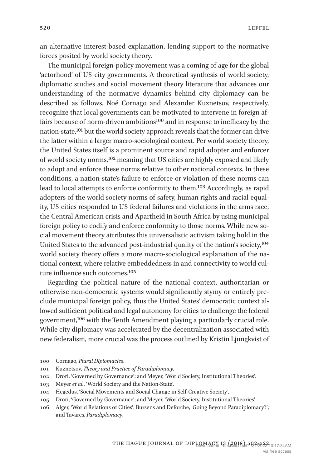an alternative interest-based explanation, lending support to the normative forces posited by world society theory.

The municipal foreign-policy movement was a coming of age for the global 'actorhood' of US city governments. A theoretical synthesis of world society, diplomatic studies and social movement theory literature that advances our understanding of the normative dynamics behind city diplomacy can be described as follows. Noé Cornago and Alexander Kuznetsov, respectively, recognize that local governments can be motivated to intervene in foreign affairs because of norm-driven ambitions100 and in response to inefficacy by the nation-state,101 but the world society approach reveals that the former can drive the latter within a larger macro-sociological context. Per world society theory, the United States itself is a prominent source and rapid adopter and enforcer of world society norms,<sup>102</sup> meaning that US cities are highly exposed and likely to adopt and enforce these norms relative to other national contexts. In these conditions, a nation-state's failure to enforce or violation of these norms can lead to local attempts to enforce conformity to them.103 Accordingly, as rapid adopters of the world society norms of safety, human rights and racial equality, US cities responded to US federal failures and violations in the arms race, the Central American crisis and Apartheid in South Africa by using municipal foreign policy to codify and enforce conformity to those norms. While new social movement theory attributes this universalistic activism taking hold in the United States to the advanced post-industrial quality of the nation's society,104 world society theory offers a more macro-sociological explanation of the national context, where relative embeddedness in and connectivity to world culture influence such outcomes.105

Regarding the political nature of the national context, authoritarian or otherwise non-democratic systems would significantly stymy or entirely preclude municipal foreign policy, thus the United States' democratic context allowed sufficient political and legal autonomy for cities to challenge the federal government,106 with the Tenth Amendment playing a particularly crucial role. While city diplomacy was accelerated by the decentralization associated with new federalism, more crucial was the process outlined by Kristin Ljungkvist of

<sup>100</sup> Cornago, *Plural Diplomacies*.

<sup>101</sup> Kuznetsov, *Theory and Practice of Paradiplomacy*.

<sup>102</sup> Drori, 'Governed by Governance'; and Meyer, 'World Society, Institutional Theories'.

<sup>103</sup> Meyer *et al*., 'World Society and the Nation-State'.

<sup>104</sup> Hegedus, 'Social Movements and Social Change in Self-Creative Society'.

<sup>105</sup> Drori, 'Governed by Governance'; and Meyer, 'World Society, Institutional Theories'.

<sup>106</sup> Alger, 'World Relations of Cities'; Bursens and Deforche, 'Going Beyond Paradiplomacy?'; and Tavares, *Paradiplomacy*.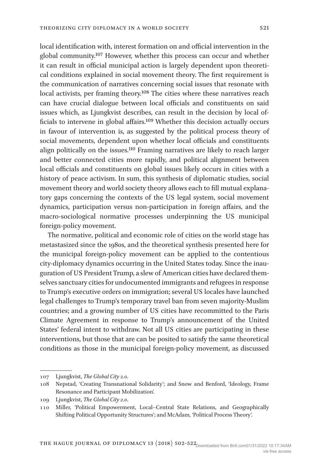local identification with, interest formation on and official intervention in the global community.107 However, whether this process can occur and whether

it can result in official municipal action is largely dependent upon theoretical conditions explained in social movement theory. The first requirement is the communication of narratives concerning social issues that resonate with local activists, per framing theory.<sup>108</sup> The cities where these narratives reach can have crucial dialogue between local officials and constituents on said issues which, as Ljungkvist describes, can result in the decision by local officials to intervene in global affairs.109 Whether this decision actually occurs in favour of intervention is, as suggested by the political process theory of social movements, dependent upon whether local officials and constituents align politically on the issues.110 Framing narratives are likely to reach larger and better connected cities more rapidly, and political alignment between local officials and constituents on global issues likely occurs in cities with a history of peace activism. In sum, this synthesis of diplomatic studies, social movement theory and world society theory allows each to fill mutual explanatory gaps concerning the contexts of the US legal system, social movement dynamics, participation versus non-participation in foreign affairs, and the macro-sociological normative processes underpinning the US municipal foreign-policy movement.

The normative, political and economic role of cities on the world stage has metastasized since the 1980s, and the theoretical synthesis presented here for the municipal foreign-policy movement can be applied to the contentious city-diplomacy dynamics occurring in the United States today. Since the inauguration of US President Trump, a slew of American cities have declared themselves sanctuary cities for undocumented immigrants and refugees in response to Trump's executive orders on immigration; several US locales have launched legal challenges to Trump's temporary travel ban from seven majority-Muslim countries; and a growing number of US cities have recommitted to the Paris Climate Agreement in response to Trump's announcement of the United States' federal intent to withdraw. Not all US cities are participating in these interventions, but those that are can be posited to satisfy the same theoretical conditions as those in the municipal foreign-policy movement, as discussed

<sup>107</sup> Ljungkvist, *The Global City 2.0*.

<sup>108</sup> Nepstad, 'Creating Transnational Solidarity'; and Snow and Benford, 'Ideology, Frame Resonance and Participant Mobilization'.

<sup>109</sup> Ljungkvist, *The Global City 2.0*.

<sup>110</sup> Miller, 'Political Empowerment, Local–Central State Relations, and Geographically Shifting Political Opportunity Structures'; and McAdam, 'Political Process Theory'.